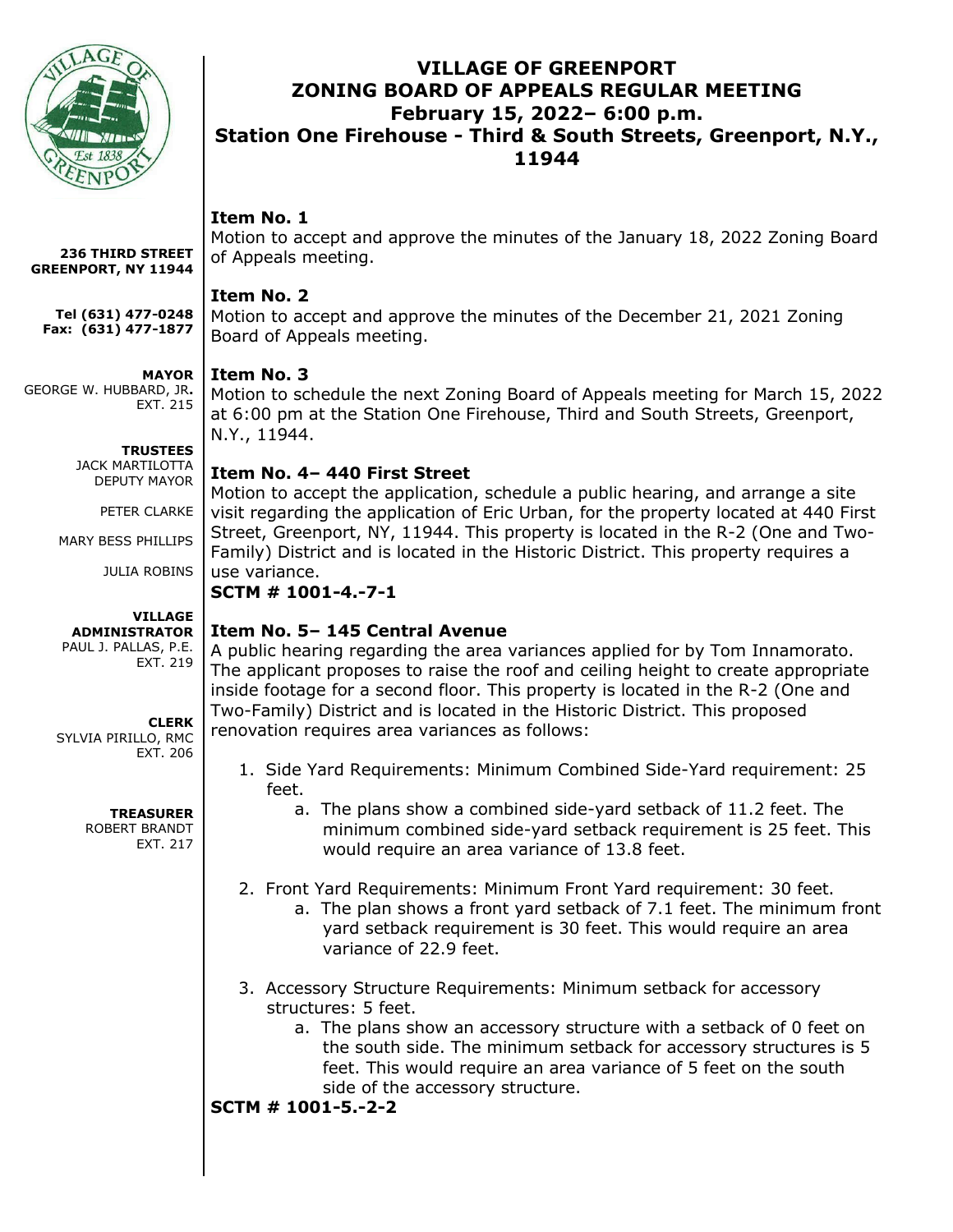

# **VILLAGE OF GREENPORT ZONING BOARD OF APPEALS REGULAR MEETING February 15, 2022– 6:00 p.m. Station One Firehouse - Third & South Streets, Greenport, N.Y., 11944**

# **Item No. 1**

Motion to accept and approve the minutes of the January 18, 2022 Zoning Board of Appeals meeting.

## **Item No. 2**

Motion to accept and approve the minutes of the December 21, 2021 Zoning Board of Appeals meeting.

#### **MAYOR**

GEORGE W. HUBBARD, JR**.** EXT. 215

**236 THIRD STREET GREENPORT, NY 11944**

**Tel (631) 477-0248 Fax: (631) 477-1877**

> **TRUSTEES** JACK MARTILOTTA DEPUTY MAYOR

> > PETER CLARKE

MARY BESS PHILLIPS

JULIA ROBINS

**VILLAGE ADMINISTRATOR** PAUL J. PALLAS, P.E. EXT. 219

**CLERK**

SYLVIA PIRILLO, RMC EXT. 206

#### **TREASURER**

ROBERT BRANDT EXT. 217

**Item No. 3**

Motion to schedule the next Zoning Board of Appeals meeting for March 15, 2022 at 6:00 pm at the Station One Firehouse, Third and South Streets, Greenport, N.Y., 11944.

## **Item No. 4– 440 First Street**

Motion to accept the application, schedule a public hearing, and arrange a site visit regarding the application of Eric Urban, for the property located at 440 First Street, Greenport, NY, 11944. This property is located in the R-2 (One and Two-Family) District and is located in the Historic District. This property requires a use variance.

### **SCTM # 1001-4.-7-1**

## **Item No. 5– 145 Central Avenue**

A public hearing regarding the area variances applied for by Tom Innamorato. The applicant proposes to raise the roof and ceiling height to create appropriate inside footage for a second floor. This property is located in the R-2 (One and Two-Family) District and is located in the Historic District. This proposed renovation requires area variances as follows:

- 1. Side Yard Requirements: Minimum Combined Side-Yard requirement: 25 feet.
	- a. The plans show a combined side-yard setback of 11.2 feet. The minimum combined side-yard setback requirement is 25 feet. This would require an area variance of 13.8 feet.
- 2. Front Yard Requirements: Minimum Front Yard requirement: 30 feet.
	- a. The plan shows a front yard setback of 7.1 feet. The minimum front yard setback requirement is 30 feet. This would require an area variance of 22.9 feet.
- 3. Accessory Structure Requirements: Minimum setback for accessory structures: 5 feet.
	- a. The plans show an accessory structure with a setback of 0 feet on the south side. The minimum setback for accessory structures is 5 feet. This would require an area variance of 5 feet on the south side of the accessory structure.

**SCTM # 1001-5.-2-2**